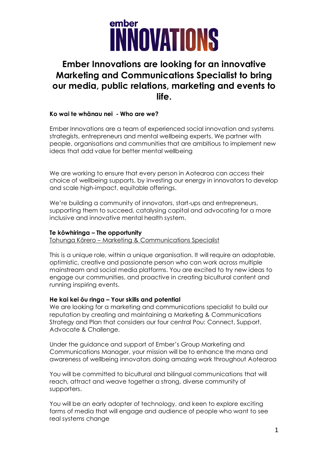

### **Ember Innovations are looking for an innovative Marketing and Communications Specialist to bring our media, public relations, marketing and events to life.**

### **Ko wai te whānau nei - Who are we?**

Ember Innovations are a team of experienced social innovation and systems strategists, entrepreneurs and mental wellbeing experts. We partner with people, organisations and communities that are ambitious to implement new ideas that add value for better mental wellbeing

We are working to ensure that every person in Aotearoa can access their choice of wellbeing supports, by investing our energy in innovators to develop and scale high-impact, equitable offerings.

We're building a community of innovators, start-ups and entrepreneurs, supporting them to succeed, catalysing capital and advocating for a more inclusive and innovative mental health system.

#### **Te kōwhiringa – The opportunity**

Tohunga Kōrero – Marketing & Communications Specialist

This is a unique role, within a unique organisation. It will require an adaptable, optimistic, creative and passionate person who can work across multiple mainstream and social media platforms. You are excited to try new ideas to engage our communities, and proactive in creating bicultural content and running inspiring events.

### **He kai kei ōu ringa – Your skills and potential**

We are looking for a marketing and communications specialist to build our reputation by creating and maintaining a Marketing & Communications Strategy and Plan that considers our four central Pou: Connect, Support, Advocate & Challenge.

Under the guidance and support of Ember's Group Marketing and Communications Manager, your mission will be to enhance the mana and awareness of wellbeing innovators doing amazing work throughout Aotearoa

You will be committed to bicultural and bilingual communications that will reach, attract and weave together a strong, diverse community of supporters.

You will be an early adopter of technology, and keen to explore exciting forms of media that will engage and audience of people who want to see real systems change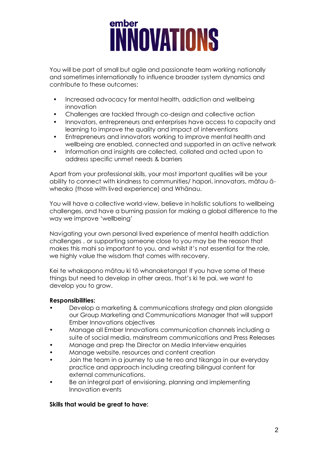# ember **İNNOVATIONS**

You will be part of small but agile and passionate team working nationally and sometimes internationally to influence broader system dynamics and contribute to these outcomes:

- Increased advocacy for mental health, addiction and wellbeing innovation
- Challenges are tackled through co-design and collective action
- Innovators, entrepreneurs and enterprises have access to capacity and learning to improve the quality and impact of interventions
- Entrepreneurs and innovators working to improve mental health and wellbeing are enabled, connected and supported in an active network
- Information and insights are collected, collated and acted upon to address specific unmet needs & barriers

Apart from your professional skills, your most important qualities will be your ability to connect with kindness to communities/ hapori, innovators, mātau āwheako (those with lived experience) and Whānau.

You will have a collective world-view, believe in holistic solutions to wellbeing challenges, and have a burning passion for making a global difference to the way we improve 'wellbeing'

Navigating your own personal lived experience of mental health addiction challenges , or supporting someone close to you may be the reason that makes this mahi so important to you, and whilst it's not essential for the role, we highly value the wisdom that comes with recovery.

Kei te whakapono mātau ki tō whanaketanga! If you have some of these things but need to develop in other areas, that's ki te pai, we want to develop you to grow.

### **Responsibilities:**

- Develop a marketing & communications strategy and plan alongside our Group Marketing and Communications Manager that will support Ember Innovations objectives
- Manage all Ember Innovations communication channels including a suite of social media, mainstream communications and Press Releases
- Manage and prep the Director on Media Interview enquiries
- Manage website, resources and content creation
- Join the team in a journey to use te reo and tikanga in our everyday practice and approach including creating bilingual content for external communications.
- Be an integral part of envisioning, planning and implementing Innovation events

### **Skills that would be great to have:**